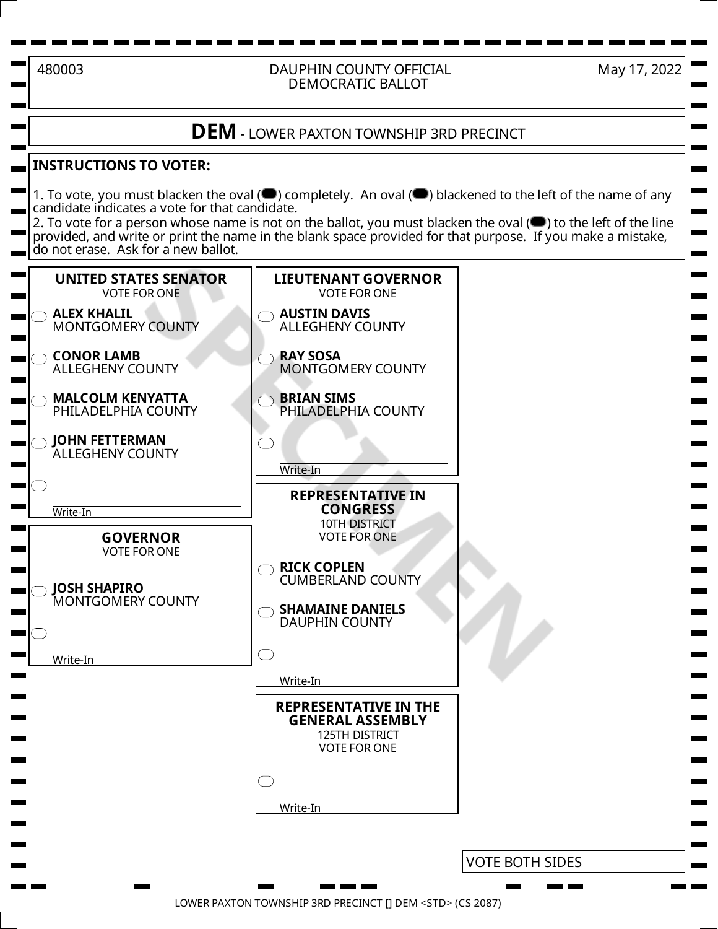## 480003 DAUPHIN COUNTY OFFICIAL DEMOCRATIC BALLOT

May 17, 2022

## **DEM** - LOWER PAXTON TOWNSHIP 3RD PRECINCT

## **INSTRUCTIONS TO VOTER:**

1. To vote, you must blacken the oval ( $\blacksquare$ ) completely. An oval ( $\blacksquare$ ) blackened to the left of the name of any candidate indicates a vote for that candidate.

2. To vote for a person whose name is not on the ballot, you must blacken the oval ( $\blacksquare$ ) to the left of the line provided, and write or print the name in the blank space provided for that purpose. If you make a mistake, do not erase. Ask for a new ballot.

| <b>UNITED STATES SENATOR</b><br><b>VOTE FOR ONE</b> | <b>LIEUTENANT GOVERNOR</b><br><b>VOTE FOR ONE</b>                                                |  |
|-----------------------------------------------------|--------------------------------------------------------------------------------------------------|--|
| <b>ALEX KHALIL</b><br><b>MONTGOMERY COUNTY</b>      | <b>AUSTIN DAVIS</b><br><b>ALLEGHENY COUNTY</b>                                                   |  |
| <b>CONOR LAMB</b><br><b>ALLEGHENY COUNTY</b>        | <b>RAY SOSA</b><br><b>MONTGOMERY COUNTY</b>                                                      |  |
| <b>MALCOLM KENYATTA</b><br>PHILADELPHIA COUNTY      | <b>BRIAN SIMS</b><br>PHILADELPHIA COUNTY                                                         |  |
| <b>JOHN FETTERMAN</b><br>ALLEGHENY COUNTY           |                                                                                                  |  |
|                                                     | Write-In                                                                                         |  |
| Write-In                                            | <b>REPRESENTATIVE IN</b><br><b>CONGRESS</b>                                                      |  |
|                                                     | 10TH DISTRICT                                                                                    |  |
| <b>GOVERNOR</b><br><b>VOTE FOR ONE</b>              | <b>VOTE FOR ONE</b>                                                                              |  |
| <b>JOSH SHAPIRO</b>                                 | <b>RICK COPLEN</b><br><b>CUMBERLAND COUNTY</b>                                                   |  |
| MONTGOMERY COUNTY                                   | <b>SHAMAINE DANIELS</b><br><b>DAUPHIN COUNTY</b>                                                 |  |
|                                                     |                                                                                                  |  |
| Write-In                                            |                                                                                                  |  |
|                                                     | Write-In                                                                                         |  |
|                                                     | <b>REPRESENTATIVE IN THE</b><br><b>GENERAL ASSEMBLY</b><br>125TH DISTRICT<br><b>VOTE FOR ONE</b> |  |
|                                                     |                                                                                                  |  |
|                                                     | Write-In                                                                                         |  |

VOTE BOTH SIDES